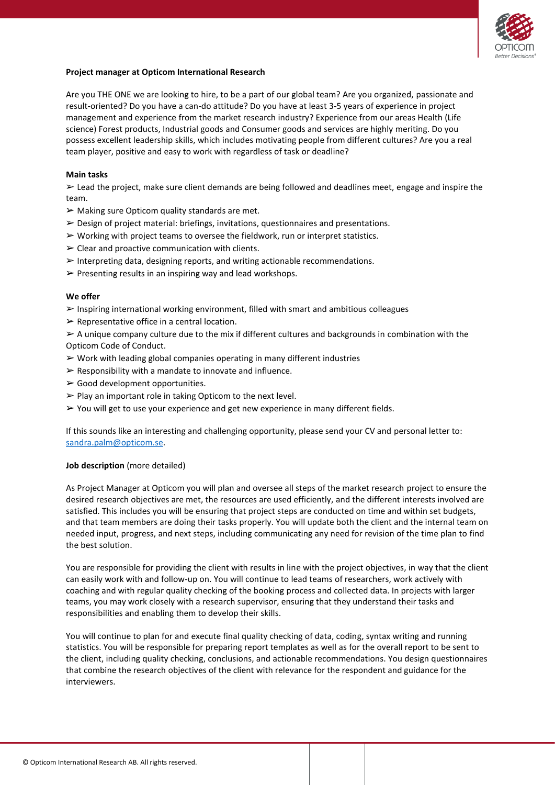

# **Project manager at Opticom International Research**

Are you THE ONE we are looking to hire, to be a part of our global team? Are you organized, passionate and result-oriented? Do you have a can-do attitude? Do you have at least 3-5 years of experience in project management and experience from the market research industry? Experience from our areas Health (Life science) Forest products, Industrial goods and Consumer goods and services are highly meriting. Do you possess excellent leadership skills, which includes motivating people from different cultures? Are you a real team player, positive and easy to work with regardless of task or deadline?

## **Main tasks**

➢ Lead the project, make sure client demands are being followed and deadlines meet, engage and inspire the team.

- $\triangleright$  Making sure Opticom quality standards are met.
- $\triangleright$  Design of project material: briefings, invitations, questionnaires and presentations.
- $\triangleright$  Working with project teams to oversee the fieldwork, run or interpret statistics.
- $\triangleright$  Clear and proactive communication with clients.
- $\triangleright$  Interpreting data, designing reports, and writing actionable recommendations.
- $\triangleright$  Presenting results in an inspiring way and lead workshops.

### **We offer**

 $\triangleright$  Inspiring international working environment, filled with smart and ambitious colleagues

 $\triangleright$  Representative office in a central location.

 $\geq$  A unique company culture due to the mix if different cultures and backgrounds in combination with the Opticom Code of Conduct.

- $\triangleright$  Work with leading global companies operating in many different industries
- $\triangleright$  Responsibility with a mandate to innovate and influence.
- $\triangleright$  Good development opportunities.
- $\triangleright$  Play an important role in taking Opticom to the next level.
- ➢ You will get to use your experience and get new experience in many different fields.

If this sounds like an interesting and challenging opportunity, please send your CV and personal letter to: [sandra.palm@opticom.se.](mailto:sandra.palm@opticom.se)

### **Job description** (more detailed)

As Project Manager at Opticom you will plan and oversee all steps of the market research project to ensure the desired research objectives are met, the resources are used efficiently, and the different interests involved are satisfied. This includes you will be ensuring that project steps are conducted on time and within set budgets, and that team members are doing their tasks properly. You will update both the client and the internal team on needed input, progress, and next steps, including communicating any need for revision of the time plan to find the best solution.

You are responsible for providing the client with results in line with the project objectives, in way that the client can easily work with and follow-up on. You will continue to lead teams of researchers, work actively with coaching and with regular quality checking of the booking process and collected data. In projects with larger teams, you may work closely with a research supervisor, ensuring that they understand their tasks and responsibilities and enabling them to develop their skills.

You will continue to plan for and execute final quality checking of data, coding, syntax writing and running statistics. You will be responsible for preparing report templates as well as for the overall report to be sent to the client, including quality checking, conclusions, and actionable recommendations. You design questionnaires that combine the research objectives of the client with relevance for the respondent and guidance for the interviewers.